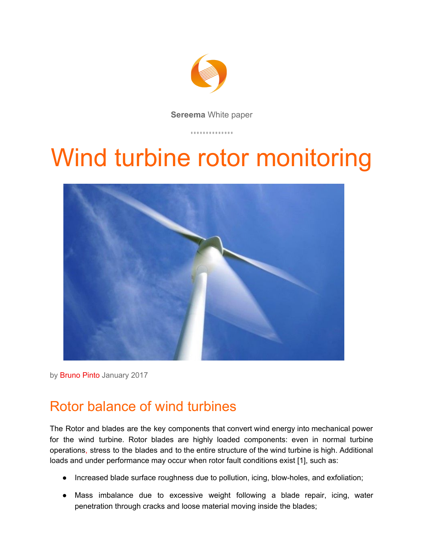

**Sereema** White paper

# Wind turbine rotor monitoring



by Bruno Pinto January 2017

# Rotor balance of wind turbines

The Rotor and blades are the key components that convert wind energy into mechanical power for the wind turbine. Rotor blades are highly loaded components: even in normal turbine operations, stress to the blades and to the entire structure of the wind turbine is high. Additional loads and under performance may occur when rotor fault conditions exist [1], such as:

- Increased blade surface roughness due to pollution, icing, blow-holes, and exfoliation;
- Mass imbalance due to excessive weight following a blade repair, icing, water penetration through cracks and loose material moving inside the blades;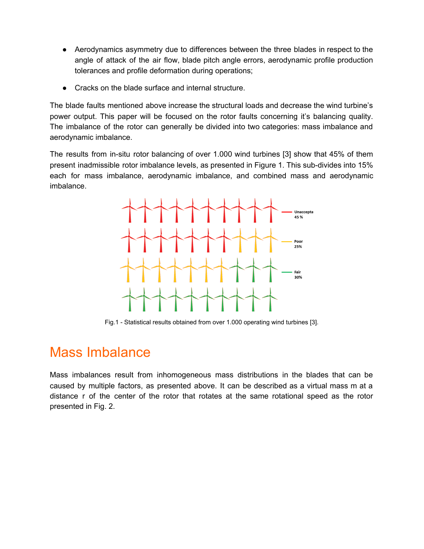- Aerodynamics asymmetry due to differences between the three blades in respect to the angle of attack of the air flow, blade pitch angle errors, aerodynamic profile production tolerances and profile deformation during operations;
- Cracks on the blade surface and internal structure.

The blade faults mentioned above increase the structural loads and decrease the wind turbine's power output. This paper will be focused on the rotor faults concerning it's balancing quality. The imbalance of the rotor can generally be divided into two categories: mass imbalance and aerodynamic imbalance.

The results from in-situ rotor balancing of over 1.000 wind turbines [3] show that 45% of them present inadmissible rotor imbalance levels, as presented in Figure 1. This sub-divides into 15% each for mass imbalance, aerodynamic imbalance, and combined mass and aerodynamic imbalance.



Fig.1 - Statistical results obtained from over 1.000 operating wind turbines [3].

## Mass Imbalance

Mass imbalances result from inhomogeneous mass distributions in the blades that can be caused by multiple factors, as presented above. It can be described as a virtual mass m at a distance r of the center of the rotor that rotates at the same rotational speed as the rotor presented in Fig. 2.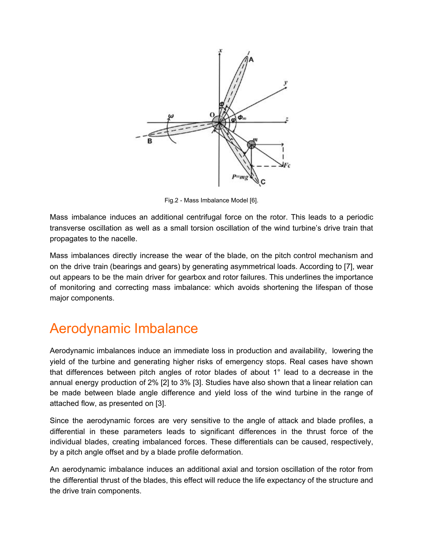

Fig.2 - Mass Imbalance Model [6].

Mass imbalance induces an additional centrifugal force on the rotor. This leads to a periodic transverse oscillation as well as a small torsion oscillation of the wind turbine's drive train that propagates to the nacelle.

Mass imbalances directly increase the wear of the blade, on the pitch control mechanism and on the drive train (bearings and gears) by generating asymmetrical loads. According to [7], wear out appears to be the main driver for gearbox and rotor failures. This underlines the importance of monitoring and correcting mass imbalance: which avoids shortening the lifespan of those major components.

## Aerodynamic Imbalance

Aerodynamic imbalances induce an immediate loss in production and availability, lowering the yield of the turbine and generating higher risks of emergency stops. Real cases have shown that differences between pitch angles of rotor blades of about 1° lead to a decrease in the annual energy production of 2% [2] to 3% [3]. Studies have also shown that a linear relation can be made between blade angle difference and yield loss of the wind turbine in the range of attached flow, as presented on [3].

Since the aerodynamic forces are very sensitive to the angle of attack and blade profiles, a differential in these parameters leads to significant differences in the thrust force of the individual blades, creating imbalanced forces. These differentials can be caused, respectively, by a pitch angle offset and by a blade profile deformation.

An aerodynamic imbalance induces an additional axial and torsion oscillation of the rotor from the differential thrust of the blades, this effect will reduce the life expectancy of the structure and the drive train components.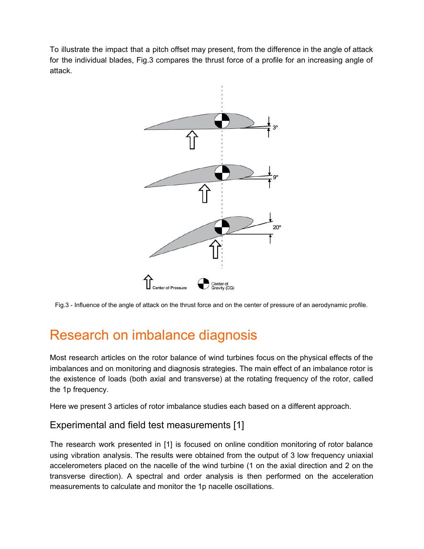To illustrate the impact that a pitch offset may present, from the difference in the angle of attack for the individual blades, Fig.3 compares the thrust force of a profile for an increasing angle of attack.



Fig.3 - Influence of the angle of attack on the thrust force and on the center of pressure of an aerodynamic profile.

# Research on imbalance diagnosis

Most research articles on the rotor balance of wind turbines focus on the physical effects of the imbalances and on monitoring and diagnosis strategies. The main effect of an imbalance rotor is the existence of loads (both axial and transverse) at the rotating frequency of the rotor, called the 1p frequency.

Here we present 3 articles of rotor imbalance studies each based on a different approach.

#### Experimental and field test measurements [1]

The research work presented in [1] is focused on online condition monitoring of rotor balance using vibration analysis. The results were obtained from the output of 3 low frequency uniaxial accelerometers placed on the nacelle of the wind turbine (1 on the axial direction and 2 on the transverse direction). A spectral and order analysis is then performed on the acceleration measurements to calculate and monitor the 1p nacelle oscillations.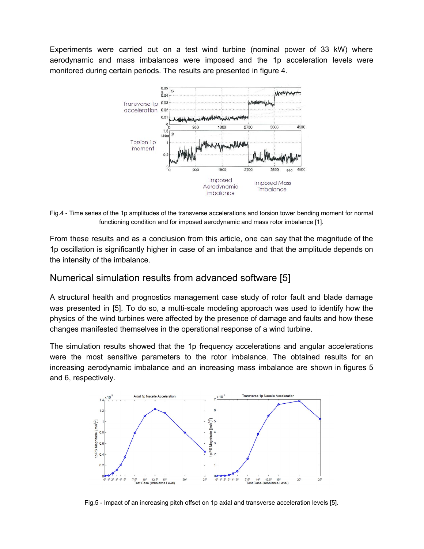Experiments were carried out on a test wind turbine (nominal power of 33 kW) where aerodynamic and mass imbalances were imposed and the 1p acceleration levels were monitored during certain periods. The results are presented in figure 4.



Fig.4 - Time series of the 1p amplitudes of the transverse accelerations and torsion tower bending moment for normal functioning condition and for imposed aerodynamic and mass rotor imbalance [1].

From these results and as a conclusion from this article, one can say that the magnitude of the 1p oscillation is significantly higher in case of an imbalance and that the amplitude depends on the intensity of the imbalance.

#### Numerical simulation results from advanced software [5]

A structural health and prognostics management case study of rotor fault and blade damage was presented in [5]. To do so, a multi-scale modeling approach was used to identify how the physics of the wind turbines were affected by the presence of damage and faults and how these changes manifested themselves in the operational response of a wind turbine.

The simulation results showed that the 1p frequency accelerations and angular accelerations were the most sensitive parameters to the rotor imbalance. The obtained results for an increasing aerodynamic imbalance and an increasing mass imbalance are shown in figures 5 and 6, respectively.



Fig.5 - Impact of an increasing pitch offset on 1p axial and transverse acceleration levels [5].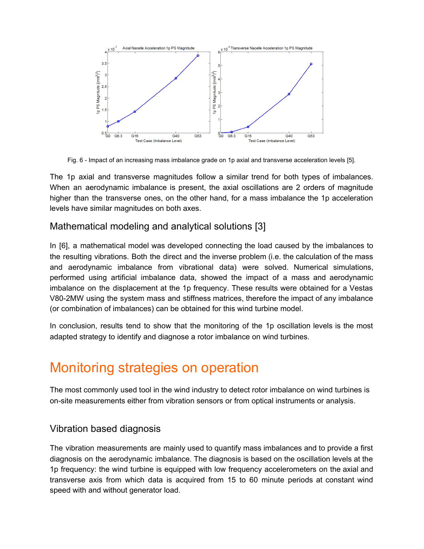

Fig. 6 - Impact of an increasing mass imbalance grade on 1p axial and transverse acceleration levels [5].

The 1p axial and transverse magnitudes follow a similar trend for both types of imbalances. When an aerodynamic imbalance is present, the axial oscillations are 2 orders of magnitude higher than the transverse ones, on the other hand, for a mass imbalance the 1p acceleration levels have similar magnitudes on both axes.

#### Mathematical modeling and analytical solutions [3]

In [6], a mathematical model was developed connecting the load caused by the imbalances to the resulting vibrations. Both the direct and the inverse problem (i.e. the calculation of the mass and aerodynamic imbalance from vibrational data) were solved. Numerical simulations, performed using artificial imbalance data, showed the impact of a mass and aerodynamic imbalance on the displacement at the 1p frequency. These results were obtained for a Vestas V80-2MW using the system mass and stiffness matrices, therefore the impact of any imbalance (or combination of imbalances) can be obtained for this wind turbine model.

In conclusion, results tend to show that the monitoring of the 1p oscillation levels is the most adapted strategy to identify and diagnose a rotor imbalance on wind turbines.

# Monitoring strategies on operation

The most commonly used tool in the wind industry to detect rotor imbalance on wind turbines is on-site measurements either from vibration sensors or from optical instruments or analysis.

#### Vibration based diagnosis

The vibration measurements are mainly used to quantify mass imbalances and to provide a first diagnosis on the aerodynamic imbalance. The diagnosis is based on the oscillation levels at the 1p frequency: the wind turbine is equipped with low frequency accelerometers on the axial and transverse axis from which data is acquired from 15 to 60 minute periods at constant wind speed with and without generator load.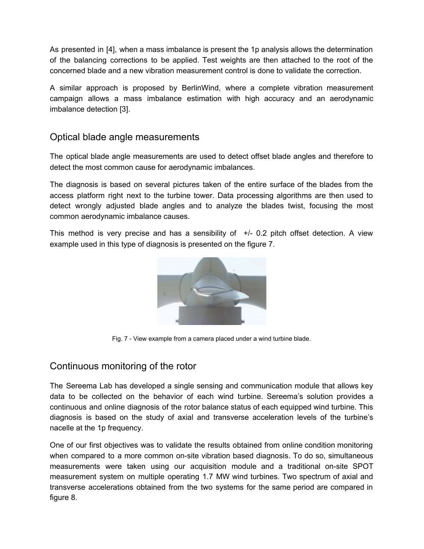As presented in [4], when a mass imbalance is present the 1p analysis allows the determination of the balancing corrections to be applied. Test weights are then attached to the root of the concerned blade and a new vibration measurement control is done to validate the correction.

A similar approach is proposed by BerlinWind, where a complete vibration measurement campaign allows a mass imbalance estimation with high accuracy and an aerodynamic imbalance detection [3].

#### Optical blade angle measurements

The optical blade angle measurements are used to detect offset blade angles and therefore to detect the most common cause for aerodynamic imbalances.

The diagnosis is based on several pictures taken of the entire surface of the blades from the access platform right next to the turbine tower. Data processing algorithms are then used to detect wrongly adjusted blade angles and to analyze the blades twist, focusing the most common aerodynamic imbalance causes.

This method is very precise and has a sensibility of +/- 0.2 pitch offset detection. A view example used in this type of diagnosis is presented on the figure 7.



Fig. 7 - View example from a camera placed under a wind turbine blade.

#### Continuous monitoring of the rotor

The Sereema Lab has developed a single sensing and communication module that allows key data to be collected on the behavior of each wind turbine. Sereema's solution provides a continuous and online diagnosis of the rotor balance status of each equipped wind turbine. This diagnosis is based on the study of axial and transverse acceleration levels of the turbine's nacelle at the 1p frequency.

One of our first objectives was to validate the results obtained from online condition monitoring when compared to a more common on-site vibration based diagnosis. To do so, simultaneous measurements were taken using our acquisition module and a traditional on-site SPOT measurement system on multiple operating 1.7 MW wind turbines. Two spectrum of axial and transverse accelerations obtained from the two systems for the same period are compared in figure 8.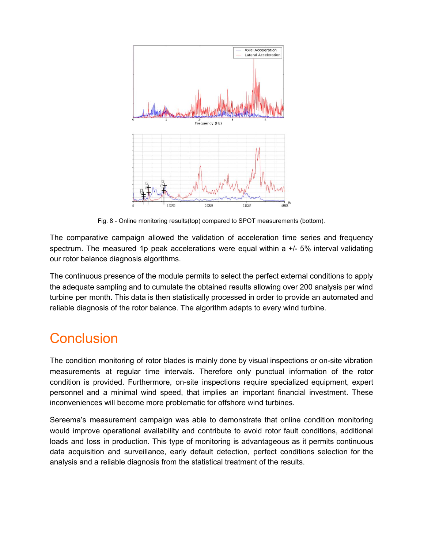

Fig. 8 - Online monitoring results(top) compared to SPOT measurements (bottom).

The comparative campaign allowed the validation of acceleration time series and frequency spectrum. The measured 1p peak accelerations were equal within a  $+/-5\%$  interval validating our rotor balance diagnosis algorithms.

The continuous presence of the module permits to select the perfect external conditions to apply the adequate sampling and to cumulate the obtained results allowing over 200 analysis per wind turbine per month. This data is then statistically processed in order to provide an automated and reliable diagnosis of the rotor balance. The algorithm adapts to every wind turbine.

# **Conclusion**

The condition monitoring of rotor blades is mainly done by visual inspections or on-site vibration measurements at regular time intervals. Therefore only punctual information of the rotor condition is provided. Furthermore, on-site inspections require specialized equipment, expert personnel and a minimal wind speed, that implies an important financial investment. These inconveniences will become more problematic for offshore wind turbines.

Sereema's measurement campaign was able to demonstrate that online condition monitoring would improve operational availability and contribute to avoid rotor fault conditions, additional loads and loss in production. This type of monitoring is advantageous as it permits continuous data acquisition and surveillance, early default detection, perfect conditions selection for the analysis and a reliable diagnosis from the statistical treatment of the results.